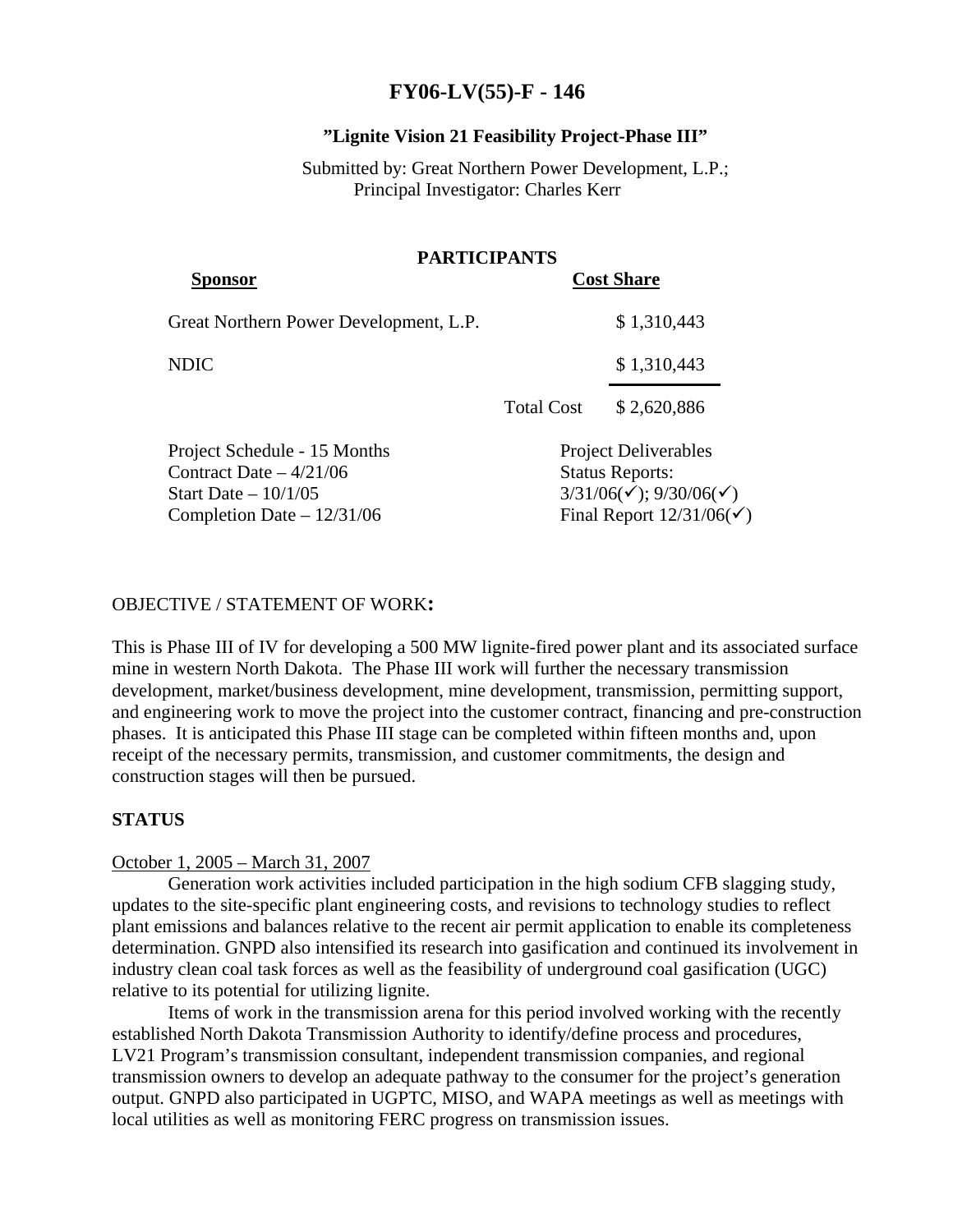# **FY06-LV(55)-F - 146**

## **"Lignite Vision 21 Feasibility Project-Phase III"**

# Submitted by: Great Northern Power Development, L.P.; Principal Investigator: Charles Kerr

|                                                                                   | <b>PARTICIPANTS</b> |                                                                                                          |  |
|-----------------------------------------------------------------------------------|---------------------|----------------------------------------------------------------------------------------------------------|--|
| <b>Sponsor</b>                                                                    |                     | <b>Cost Share</b>                                                                                        |  |
| Great Northern Power Development, L.P.                                            |                     | \$1,310,443                                                                                              |  |
| <b>NDIC</b>                                                                       |                     | \$1,310,443                                                                                              |  |
|                                                                                   | <b>Total Cost</b>   | \$2,620,886                                                                                              |  |
| Project Schedule - 15 Months<br>Contract Date $-4/21/06$<br>Start Date $-10/1/05$ |                     | <b>Project Deliverables</b><br><b>Status Reports:</b><br>$3/31/06(\checkmark)$ ; 9/30/06( $\checkmark$ ) |  |
| Completion Date $-12/31/06$                                                       |                     | Final Report $12/31/06(\checkmark)$                                                                      |  |

## OBJECTIVE / STATEMENT OF WORK**:**

This is Phase III of IV for developing a 500 MW lignite-fired power plant and its associated surface mine in western North Dakota. The Phase III work will further the necessary transmission development, market/business development, mine development, transmission, permitting support, and engineering work to move the project into the customer contract, financing and pre-construction phases. It is anticipated this Phase III stage can be completed within fifteen months and, upon receipt of the necessary permits, transmission, and customer commitments, the design and construction stages will then be pursued.

## **STATUS**

## October 1, 2005 – March 31, 2007

Generation work activities included participation in the high sodium CFB slagging study, updates to the site-specific plant engineering costs, and revisions to technology studies to reflect plant emissions and balances relative to the recent air permit application to enable its completeness determination. GNPD also intensified its research into gasification and continued its involvement in industry clean coal task forces as well as the feasibility of underground coal gasification (UGC) relative to its potential for utilizing lignite.

Items of work in the transmission arena for this period involved working with the recently established North Dakota Transmission Authority to identify/define process and procedures, LV21 Program's transmission consultant, independent transmission companies, and regional transmission owners to develop an adequate pathway to the consumer for the project's generation output. GNPD also participated in UGPTC, MISO, and WAPA meetings as well as meetings with local utilities as well as monitoring FERC progress on transmission issues.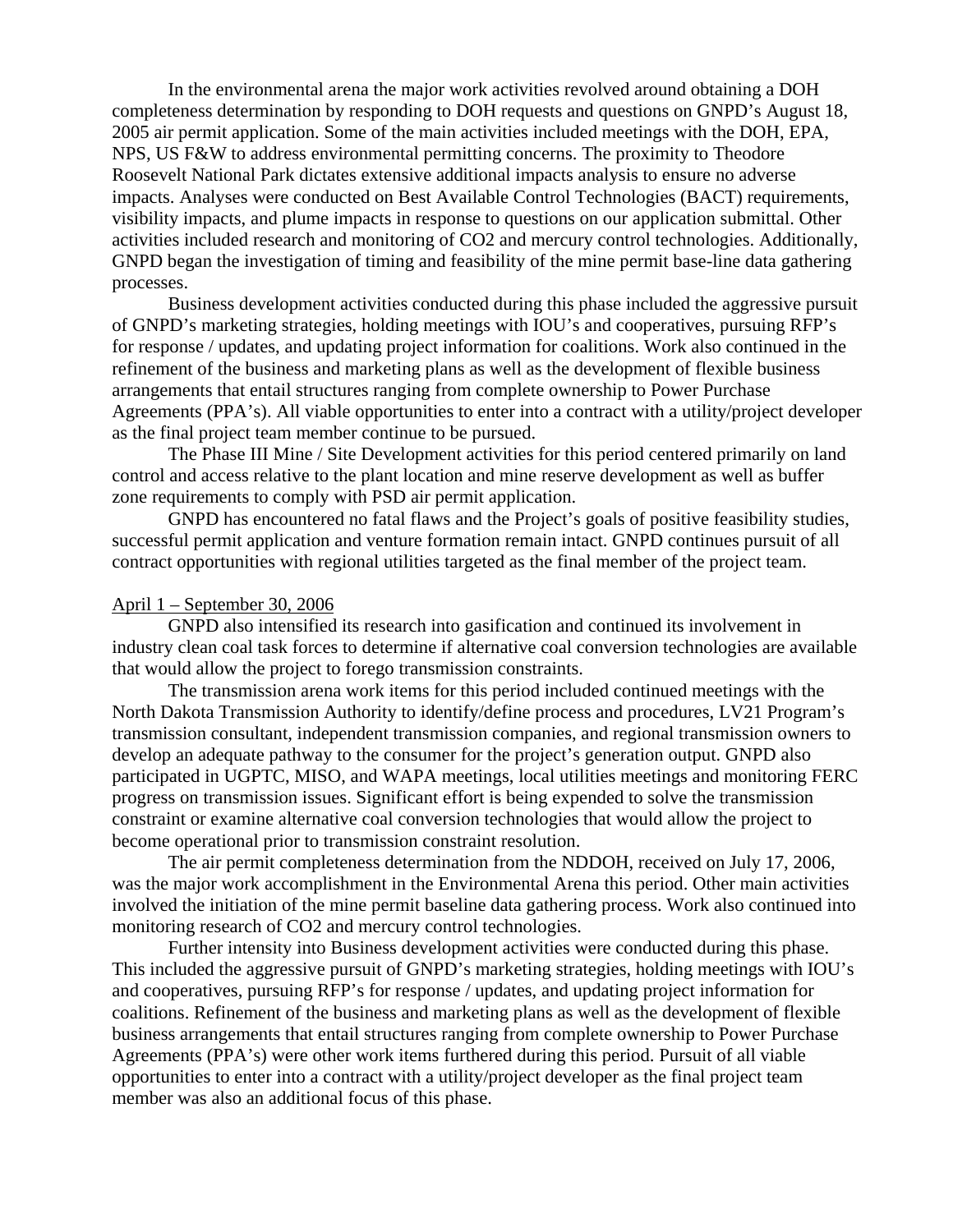In the environmental arena the major work activities revolved around obtaining a DOH completeness determination by responding to DOH requests and questions on GNPD's August 18, 2005 air permit application. Some of the main activities included meetings with the DOH, EPA, NPS, US F&W to address environmental permitting concerns. The proximity to Theodore Roosevelt National Park dictates extensive additional impacts analysis to ensure no adverse impacts. Analyses were conducted on Best Available Control Technologies (BACT) requirements, visibility impacts, and plume impacts in response to questions on our application submittal. Other activities included research and monitoring of CO2 and mercury control technologies. Additionally, GNPD began the investigation of timing and feasibility of the mine permit base-line data gathering processes.

Business development activities conducted during this phase included the aggressive pursuit of GNPD's marketing strategies, holding meetings with IOU's and cooperatives, pursuing RFP's for response / updates, and updating project information for coalitions. Work also continued in the refinement of the business and marketing plans as well as the development of flexible business arrangements that entail structures ranging from complete ownership to Power Purchase Agreements (PPA's). All viable opportunities to enter into a contract with a utility/project developer as the final project team member continue to be pursued.

The Phase III Mine / Site Development activities for this period centered primarily on land control and access relative to the plant location and mine reserve development as well as buffer zone requirements to comply with PSD air permit application.

GNPD has encountered no fatal flaws and the Project's goals of positive feasibility studies, successful permit application and venture formation remain intact. GNPD continues pursuit of all contract opportunities with regional utilities targeted as the final member of the project team.

#### April 1 – September 30, 2006

GNPD also intensified its research into gasification and continued its involvement in industry clean coal task forces to determine if alternative coal conversion technologies are available that would allow the project to forego transmission constraints.

The transmission arena work items for this period included continued meetings with the North Dakota Transmission Authority to identify/define process and procedures, LV21 Program's transmission consultant, independent transmission companies, and regional transmission owners to develop an adequate pathway to the consumer for the project's generation output. GNPD also participated in UGPTC, MISO, and WAPA meetings, local utilities meetings and monitoring FERC progress on transmission issues. Significant effort is being expended to solve the transmission constraint or examine alternative coal conversion technologies that would allow the project to become operational prior to transmission constraint resolution.

The air permit completeness determination from the NDDOH, received on July 17, 2006, was the major work accomplishment in the Environmental Arena this period. Other main activities involved the initiation of the mine permit baseline data gathering process. Work also continued into monitoring research of CO2 and mercury control technologies.

Further intensity into Business development activities were conducted during this phase. This included the aggressive pursuit of GNPD's marketing strategies, holding meetings with IOU's and cooperatives, pursuing RFP's for response / updates, and updating project information for coalitions. Refinement of the business and marketing plans as well as the development of flexible business arrangements that entail structures ranging from complete ownership to Power Purchase Agreements (PPA's) were other work items furthered during this period. Pursuit of all viable opportunities to enter into a contract with a utility/project developer as the final project team member was also an additional focus of this phase.